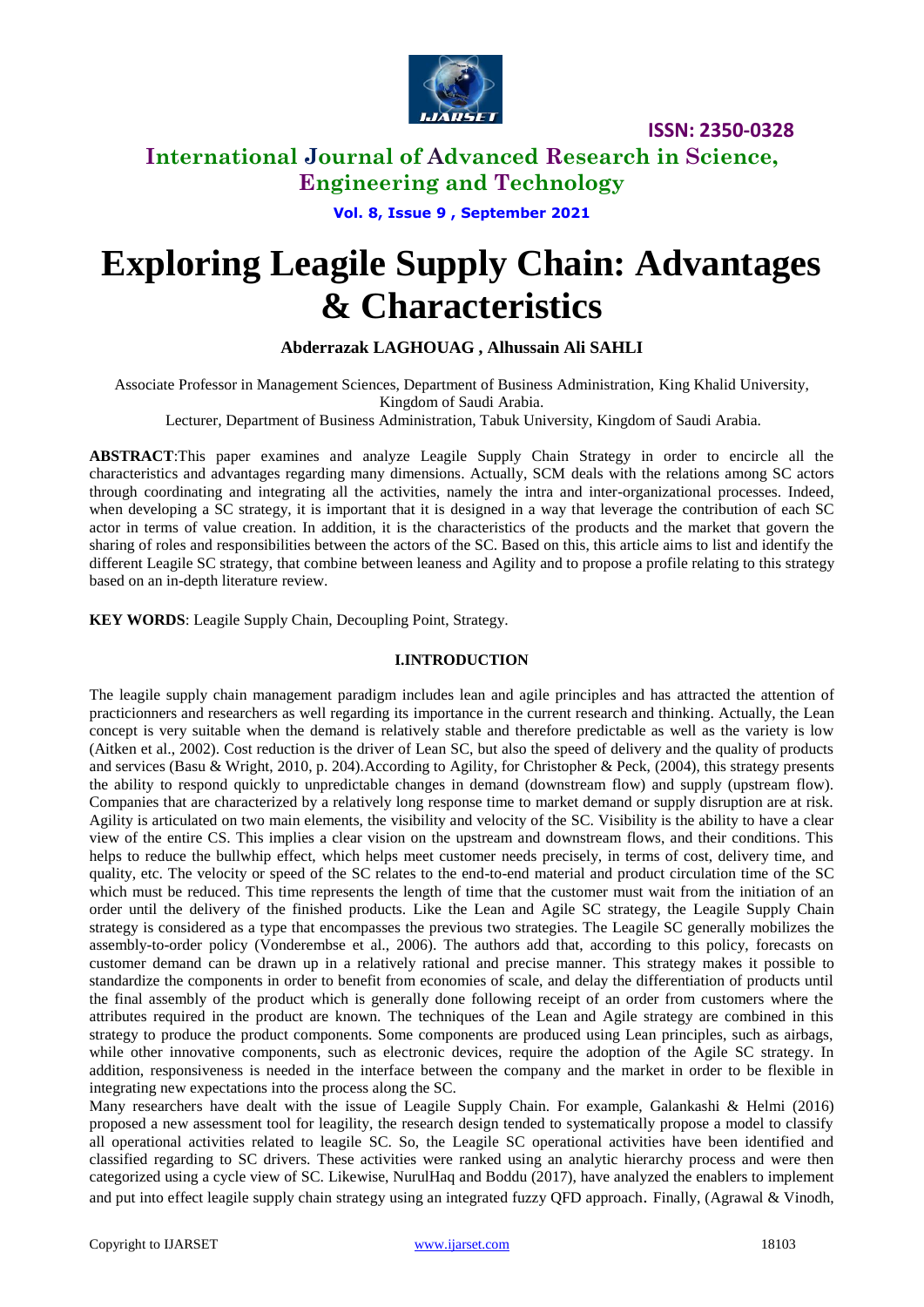

### **International Journal of Advanced Research in Science, Engineering and Technology**

**Vol. 8, Issue 9 , September 2021**

# **Exploring Leagile Supply Chain: Advantages & Characteristics**

### **Abderrazak LAGHOUAG , Alhussain Ali SAHLI**

Associate Professor in Management Sciences, Department of Business Administration, King Khalid University, Kingdom of Saudi Arabia.

Lecturer, Department of Business Administration, Tabuk University, Kingdom of Saudi Arabia.

**ABSTRACT**:This paper examines and analyze Leagile Supply Chain Strategy in order to encircle all the characteristics and advantages regarding many dimensions. Actually, SCM deals with the relations among SC actors through coordinating and integrating all the activities, namely the intra and inter-organizational processes. Indeed, when developing a SC strategy, it is important that it is designed in a way that leverage the contribution of each SC actor in terms of value creation. In addition, it is the characteristics of the products and the market that govern the sharing of roles and responsibilities between the actors of the SC. Based on this, this article aims to list and identify the different Leagile SC strategy, that combine between leaness and Agility and to propose a profile relating to this strategy based on an in-depth literature review.

**KEY WORDS**: Leagile Supply Chain, Decoupling Point, Strategy.

### **I.INTRODUCTION**

The leagile supply chain management paradigm includes lean and agile principles and has attracted the attention of practicionners and researchers as well regarding its importance in the current research and thinking. Actually, the Lean concept is very suitable when the demand is relatively stable and therefore predictable as well as the variety is low (Aitken et al., 2002). Cost reduction is the driver of Lean SC, but also the speed of delivery and the quality of products and services (Basu & Wright, 2010, p. 204).According to Agility, for Christopher & Peck, (2004), this strategy presents the ability to respond quickly to unpredictable changes in demand (downstream flow) and supply (upstream flow). Companies that are characterized by a relatively long response time to market demand or supply disruption are at risk. Agility is articulated on two main elements, the visibility and velocity of the SC. Visibility is the ability to have a clear view of the entire CS. This implies a clear vision on the upstream and downstream flows, and their conditions. This helps to reduce the bullwhip effect, which helps meet customer needs precisely, in terms of cost, delivery time, and quality, etc. The velocity or speed of the SC relates to the end-to-end material and product circulation time of the SC which must be reduced. This time represents the length of time that the customer must wait from the initiation of an order until the delivery of the finished products. Like the Lean and Agile SC strategy, the Leagile Supply Chain strategy is considered as a type that encompasses the previous two strategies. The Leagile SC generally mobilizes the assembly-to-order policy (Vonderembse et al., 2006). The authors add that, according to this policy, forecasts on customer demand can be drawn up in a relatively rational and precise manner. This strategy makes it possible to standardize the components in order to benefit from economies of scale, and delay the differentiation of products until the final assembly of the product which is generally done following receipt of an order from customers where the attributes required in the product are known. The techniques of the Lean and Agile strategy are combined in this strategy to produce the product components. Some components are produced using Lean principles, such as airbags, while other innovative components, such as electronic devices, require the adoption of the Agile SC strategy. In addition, responsiveness is needed in the interface between the company and the market in order to be flexible in integrating new expectations into the process along the SC.

Many researchers have dealt with the issue of Leagile Supply Chain. For example, Galankashi & Helmi (2016) proposed a new assessment tool for leagility, the research design tended to systematically propose a model to classify all operational activities related to leagile SC. So, the Leagile SC operational activities have been identified and classified regarding to SC drivers. These activities were ranked using an analytic hierarchy process and were then categorized using a cycle view of SC. Likewise, NurulHaq and Boddu (2017), have analyzed the enablers to implement and put into effect leagile supply chain strategy using an integrated fuzzy QFD approach. Finally, (Agrawal & Vinodh,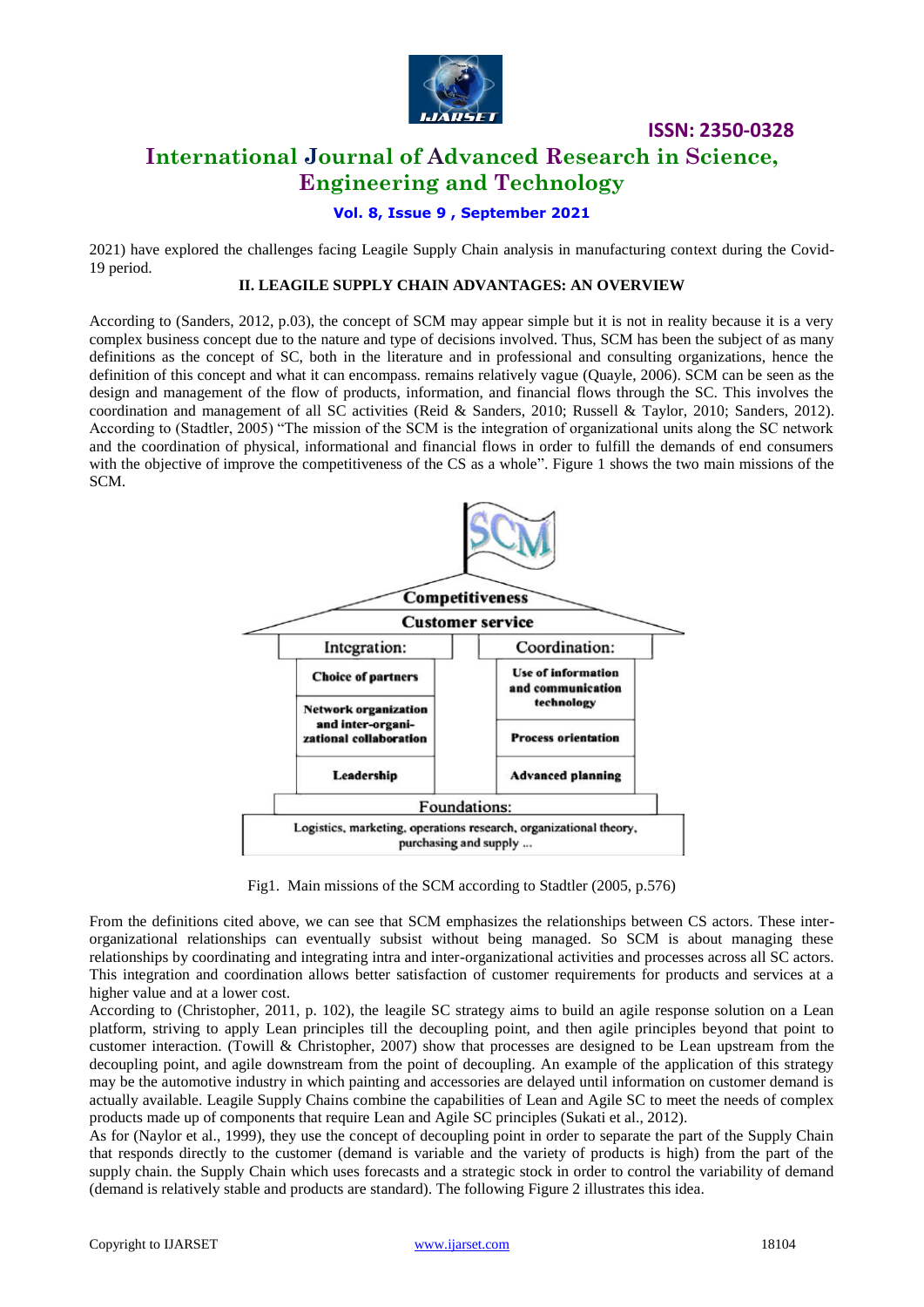

# **International Journal of Advanced Research in Science, Engineering and Technology**

### **Vol. 8, Issue 9 , September 2021**

2021) have explored the challenges facing Leagile Supply Chain analysis in manufacturing context during the Covid-19 period.

### **II. LEAGILE SUPPLY CHAIN ADVANTAGES: AN OVERVIEW**

According to (Sanders, 2012, p.03), the concept of SCM may appear simple but it is not in reality because it is a very complex business concept due to the nature and type of decisions involved. Thus, SCM has been the subject of as many definitions as the concept of SC, both in the literature and in professional and consulting organizations, hence the definition of this concept and what it can encompass. remains relatively vague (Quayle, 2006). SCM can be seen as the design and management of the flow of products, information, and financial flows through the SC. This involves the coordination and management of all SC activities (Reid & Sanders, 2010; Russell & Taylor, 2010; Sanders, 2012). According to (Stadtler, 2005) "The mission of the SCM is the integration of organizational units along the SC network and the coordination of physical, informational and financial flows in order to fulfill the demands of end consumers with the objective of improve the competitiveness of the CS as a whole". Figure 1 shows the two main missions of the SCM.



Fig1. Main missions of the SCM according to Stadtler (2005, p.576)

From the definitions cited above, we can see that SCM emphasizes the relationships between CS actors. These interorganizational relationships can eventually subsist without being managed. So SCM is about managing these relationships by coordinating and integrating intra and inter-organizational activities and processes across all SC actors. This integration and coordination allows better satisfaction of customer requirements for products and services at a higher value and at a lower cost.

According to (Christopher, 2011, p. 102), the leagile SC strategy aims to build an agile response solution on a Lean platform, striving to apply Lean principles till the decoupling point, and then agile principles beyond that point to customer interaction. (Towill & Christopher, 2007) show that processes are designed to be Lean upstream from the decoupling point, and agile downstream from the point of decoupling. An example of the application of this strategy may be the automotive industry in which painting and accessories are delayed until information on customer demand is actually available. Leagile Supply Chains combine the capabilities of Lean and Agile SC to meet the needs of complex products made up of components that require Lean and Agile SC principles (Sukati et al., 2012).

As for (Naylor et al., 1999), they use the concept of decoupling point in order to separate the part of the Supply Chain that responds directly to the customer (demand is variable and the variety of products is high) from the part of the supply chain. the Supply Chain which uses forecasts and a strategic stock in order to control the variability of demand (demand is relatively stable and products are standard). The following Figure 2 illustrates this idea.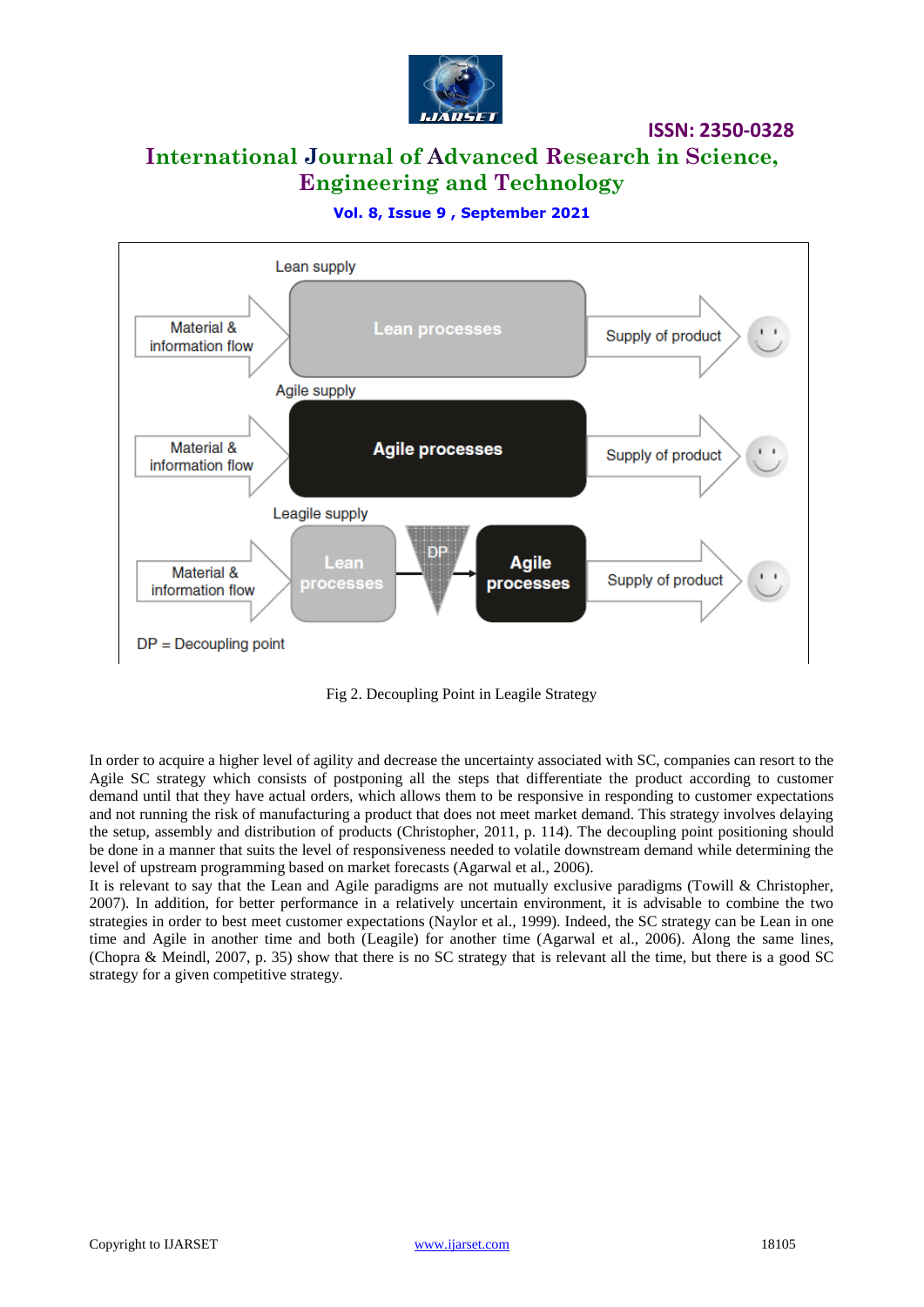

# **International Journal of Advanced Research in Science, Engineering and Technology**

**Vol. 8, Issue 9 , September 2021**



Fig 2. Decoupling Point in Leagile Strategy

In order to acquire a higher level of agility and decrease the uncertainty associated with SC, companies can resort to the Agile SC strategy which consists of postponing all the steps that differentiate the product according to customer demand until that they have actual orders, which allows them to be responsive in responding to customer expectations and not running the risk of manufacturing a product that does not meet market demand. This strategy involves delaying the setup, assembly and distribution of products (Christopher, 2011, p. 114). The decoupling point positioning should be done in a manner that suits the level of responsiveness needed to volatile downstream demand while determining the level of upstream programming based on market forecasts (Agarwal et al., 2006).

It is relevant to say that the Lean and Agile paradigms are not mutually exclusive paradigms (Towill & Christopher, 2007). In addition, for better performance in a relatively uncertain environment, it is advisable to combine the two strategies in order to best meet customer expectations (Naylor et al., 1999). Indeed, the SC strategy can be Lean in one time and Agile in another time and both (Leagile) for another time (Agarwal et al., 2006). Along the same lines, (Chopra & Meindl, 2007, p. 35) show that there is no SC strategy that is relevant all the time, but there is a good SC strategy for a given competitive strategy.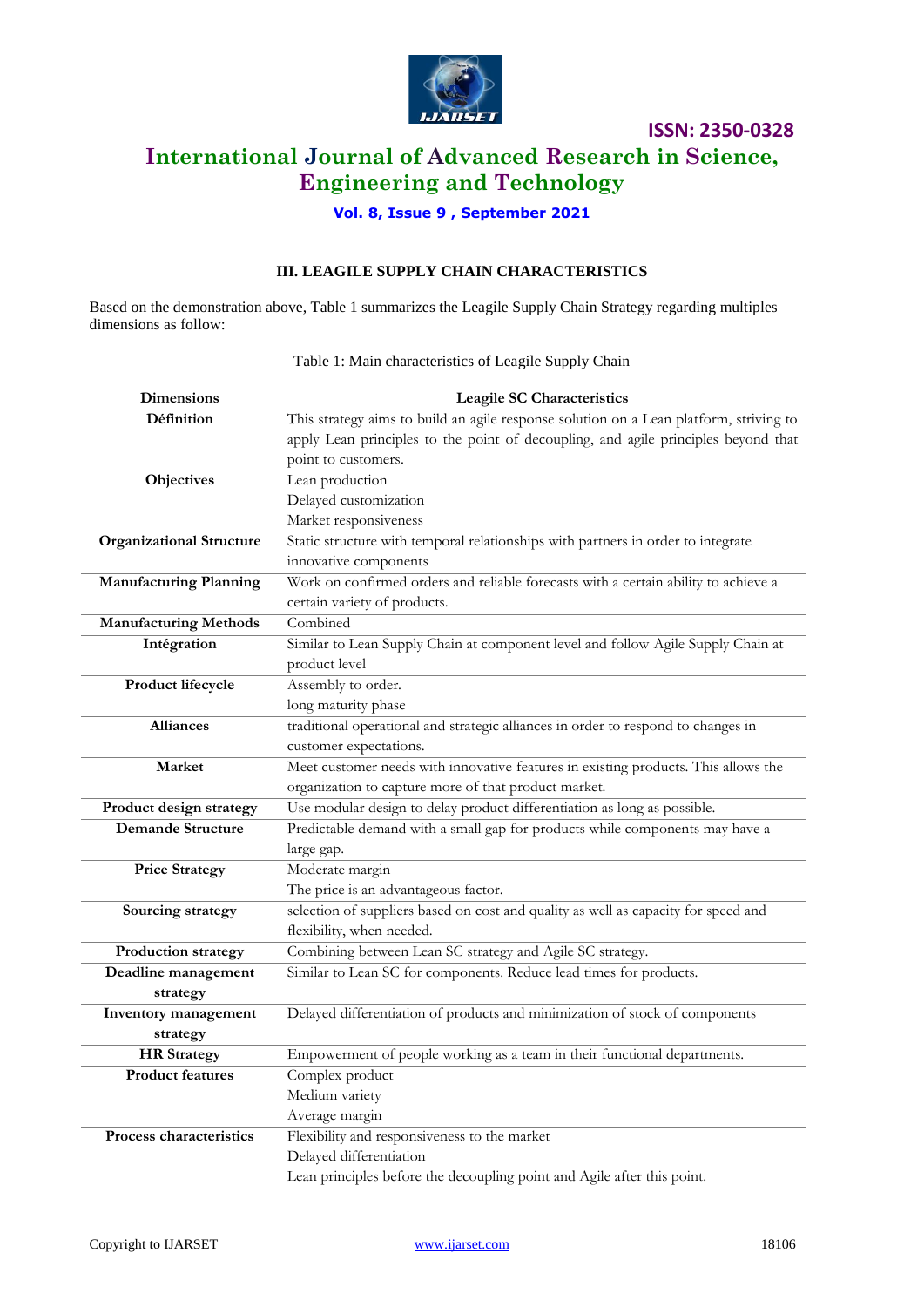

# **International Journal of Advanced Research in Science, Engineering and Technology**

**Vol. 8, Issue 9 , September 2021**

### **III. LEAGILE SUPPLY CHAIN CHARACTERISTICS**

Based on the demonstration above, Table 1 summarizes the Leagile Supply Chain Strategy regarding multiples dimensions as follow:

| <b>Dimensions</b>               | Leagile SC Characteristics                                                             |
|---------------------------------|----------------------------------------------------------------------------------------|
| <b>Définition</b>               | This strategy aims to build an agile response solution on a Lean platform, striving to |
|                                 | apply Lean principles to the point of decoupling, and agile principles beyond that     |
|                                 | point to customers.                                                                    |
| <b>Objectives</b>               | Lean production                                                                        |
|                                 | Delayed customization                                                                  |
|                                 | Market responsiveness                                                                  |
| <b>Organizational Structure</b> | Static structure with temporal relationships with partners in order to integrate       |
|                                 | innovative components                                                                  |
| <b>Manufacturing Planning</b>   | Work on confirmed orders and reliable forecasts with a certain ability to achieve a    |
|                                 | certain variety of products.                                                           |
| <b>Manufacturing Methods</b>    | Combined                                                                               |
| Intégration                     | Similar to Lean Supply Chain at component level and follow Agile Supply Chain at       |
|                                 | product level                                                                          |
| Product lifecycle               | Assembly to order.                                                                     |
|                                 | long maturity phase                                                                    |
| <b>Alliances</b>                | traditional operational and strategic alliances in order to respond to changes in      |
|                                 | customer expectations.                                                                 |
| Market                          | Meet customer needs with innovative features in existing products. This allows the     |
|                                 | organization to capture more of that product market.                                   |
| Product design strategy         | Use modular design to delay product differentiation as long as possible.               |
| <b>Demande Structure</b>        | Predictable demand with a small gap for products while components may have a           |
|                                 | large gap.                                                                             |
| <b>Price Strategy</b>           | Moderate margin                                                                        |
|                                 | The price is an advantageous factor.                                                   |
| Sourcing strategy               | selection of suppliers based on cost and quality as well as capacity for speed and     |
|                                 | flexibility, when needed.                                                              |
| Production strategy             | Combining between Lean SC strategy and Agile SC strategy.                              |
| Deadline management             | Similar to Lean SC for components. Reduce lead times for products.                     |
| strategy                        |                                                                                        |
| Inventory management            | Delayed differentiation of products and minimization of stock of components            |
| strategy                        |                                                                                        |
| <b>HR</b> Strategy              | Empowerment of people working as a team in their functional departments.               |
| <b>Product features</b>         | Complex product                                                                        |
|                                 | Medium variety                                                                         |
|                                 | Average margin                                                                         |
| Process characteristics         | Flexibility and responsiveness to the market                                           |
|                                 | Delayed differentiation                                                                |
|                                 | Lean principles before the decoupling point and Agile after this point.                |

### Table 1: Main characteristics of Leagile Supply Chain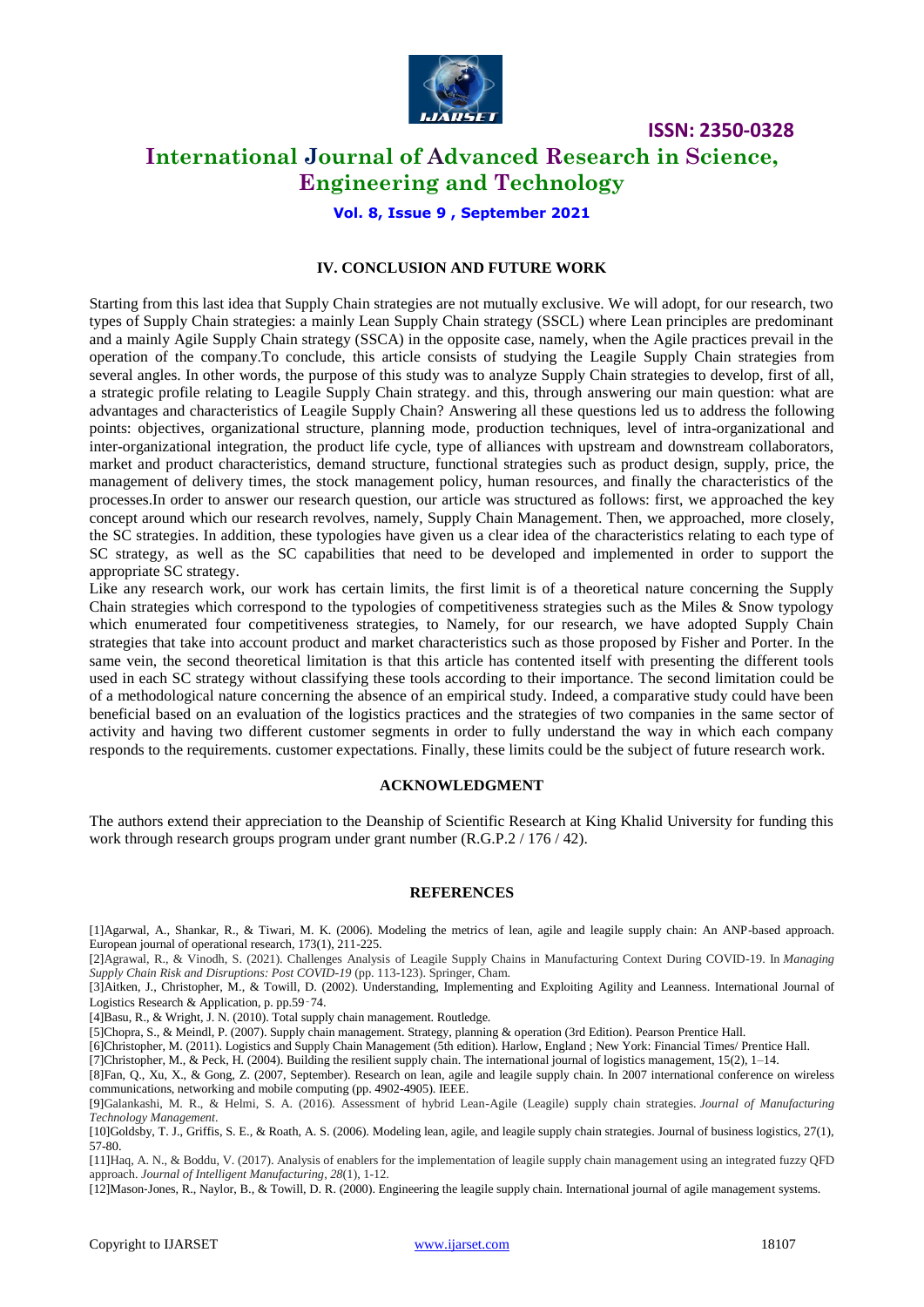

# **International Journal of Advanced Research in Science, Engineering and Technology**

**Vol. 8, Issue 9 , September 2021**

### **IV. CONCLUSION AND FUTURE WORK**

Starting from this last idea that Supply Chain strategies are not mutually exclusive. We will adopt, for our research, two types of Supply Chain strategies: a mainly Lean Supply Chain strategy (SSCL) where Lean principles are predominant and a mainly Agile Supply Chain strategy (SSCA) in the opposite case, namely, when the Agile practices prevail in the operation of the company.To conclude, this article consists of studying the Leagile Supply Chain strategies from several angles. In other words, the purpose of this study was to analyze Supply Chain strategies to develop, first of all, a strategic profile relating to Leagile Supply Chain strategy. and this, through answering our main question: what are advantages and characteristics of Leagile Supply Chain? Answering all these questions led us to address the following points: objectives, organizational structure, planning mode, production techniques, level of intra-organizational and inter-organizational integration, the product life cycle, type of alliances with upstream and downstream collaborators, market and product characteristics, demand structure, functional strategies such as product design, supply, price, the management of delivery times, the stock management policy, human resources, and finally the characteristics of the processes.In order to answer our research question, our article was structured as follows: first, we approached the key concept around which our research revolves, namely, Supply Chain Management. Then, we approached, more closely, the SC strategies. In addition, these typologies have given us a clear idea of the characteristics relating to each type of SC strategy, as well as the SC capabilities that need to be developed and implemented in order to support the appropriate SC strategy.

Like any research work, our work has certain limits, the first limit is of a theoretical nature concerning the Supply Chain strategies which correspond to the typologies of competitiveness strategies such as the Miles & Snow typology which enumerated four competitiveness strategies, to Namely, for our research, we have adopted Supply Chain strategies that take into account product and market characteristics such as those proposed by Fisher and Porter. In the same vein, the second theoretical limitation is that this article has contented itself with presenting the different tools used in each SC strategy without classifying these tools according to their importance. The second limitation could be of a methodological nature concerning the absence of an empirical study. Indeed, a comparative study could have been beneficial based on an evaluation of the logistics practices and the strategies of two companies in the same sector of activity and having two different customer segments in order to fully understand the way in which each company responds to the requirements. customer expectations. Finally, these limits could be the subject of future research work.

### **ACKNOWLEDGMENT**

The authors extend their appreciation to the Deanship of Scientific Research at King Khalid University for funding this work through research groups program under grant number (R.G.P.2 / 176 / 42).

#### **REFERENCES**

[1]Agarwal, A., Shankar, R., & Tiwari, M. K. (2006). Modeling the metrics of lean, agile and leagile supply chain: An ANP-based approach. European journal of operational research, 173(1), 211-225.

[2]Agrawal, R., & Vinodh, S. (2021). Challenges Analysis of Leagile Supply Chains in Manufacturing Context During COVID-19. In *Managing Supply Chain Risk and Disruptions: Post COVID-19* (pp. 113-123). Springer, Cham.

[3]Aitken, J., Christopher, M., & Towill, D. (2002). Understanding, Implementing and Exploiting Agility and Leanness. International Journal of Logistics Research & Application, p. pp.59‑74.

[4]Basu, R., & Wright, J. N. (2010). Total supply chain management. Routledge.

[5]Chopra, S., & Meindl, P. (2007). Supply chain management. Strategy, planning & operation (3rd Edition). Pearson Prentice Hall.

[6]Christopher, M. (2011). Logistics and Supply Chain Management (5th edition). Harlow, England ; New York: Financial Times/ Prentice Hall.

[7]Christopher, M., & Peck, H. (2004). Building the resilient supply chain. The international journal of logistics management, 15(2), 1–14.

[8]Fan, Q., Xu, X., & Gong, Z. (2007, September). Research on lean, agile and leagile supply chain. In 2007 international conference on wireless communications, networking and mobile computing (pp. 4902-4905). IEEE.

[11]Haq, A. N., & Boddu, V. (2017). Analysis of enablers for the implementation of leagile supply chain management using an integrated fuzzy QFD approach. *Journal of Intelligent Manufacturing*, *28*(1), 1-12.

[12]Mason‐Jones, R., Naylor, B., & Towill, D. R. (2000). Engineering the leagile supply chain. International journal of agile management systems.

<sup>[9]</sup>Galankashi, M. R., & Helmi, S. A. (2016). Assessment of hybrid Lean-Agile (Leagile) supply chain strategies. *Journal of Manufacturing Technology Management*.

<sup>[10]</sup>Goldsby, T. J., Griffis, S. E., & Roath, A. S. (2006). Modeling lean, agile, and leagile supply chain strategies. Journal of business logistics, 27(1), 57-80.